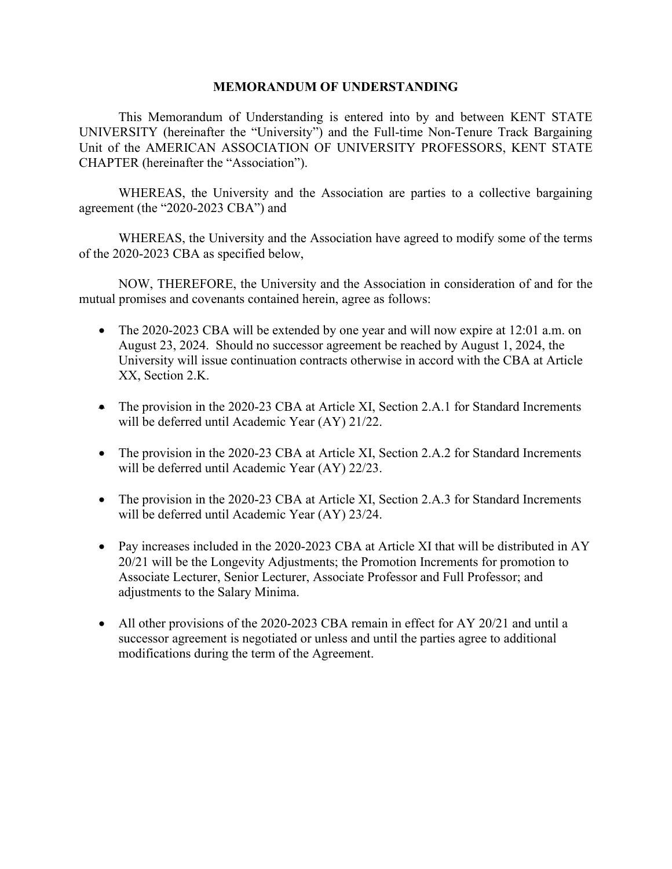## **MEMORANDUM OF UNDERSTANDING**

This Memorandum of Understanding is entered into by and between KENT STATE UNIVERSITY (hereinafter the "University") and the Full-time Non-Tenure Track Bargaining Unit of the AMERICAN ASSOCIATION OF UNIVERSITY PROFESSORS, KENT STATE CHAPTER (hereinafter the "Association").

WHEREAS, the University and the Association are parties to a collective bargaining agreement (the "2020-2023 CBA") and

WHEREAS, the University and the Association have agreed to modify some of the terms of the 2020-2023 CBA as specified below,

NOW, THEREFORE, the University and the Association in consideration of and for the mutual promises and covenants contained herein, agree as follows:

- The 2020-2023 CBA will be extended by one year and will now expire at 12:01 a.m. on August 23, 2024. Should no successor agreement be reached by August 1, 2024, the University will issue continuation contracts otherwise in accord with the CBA at Article XX, Section 2.K.
- The provision in the 2020-23 CBA at Article XI, Section 2.A.1 for Standard Increments will be deferred until Academic Year (AY) 21/22.
- The provision in the 2020-23 CBA at Article XI, Section 2.A.2 for Standard Increments will be deferred until Academic Year (AY) 22/23.
- The provision in the 2020-23 CBA at Article XI, Section 2.A.3 for Standard Increments will be deferred until Academic Year (AY) 23/24.
- Pay increases included in the 2020-2023 CBA at Article XI that will be distributed in AY 20/21 will be the Longevity Adjustments; the Promotion Increments for promotion to Associate Lecturer, Senior Lecturer, Associate Professor and Full Professor; and adjustments to the Salary Minima.
- All other provisions of the 2020-2023 CBA remain in effect for AY 20/21 and until a successor agreement is negotiated or unless and until the parties agree to additional modifications during the term of the Agreement.